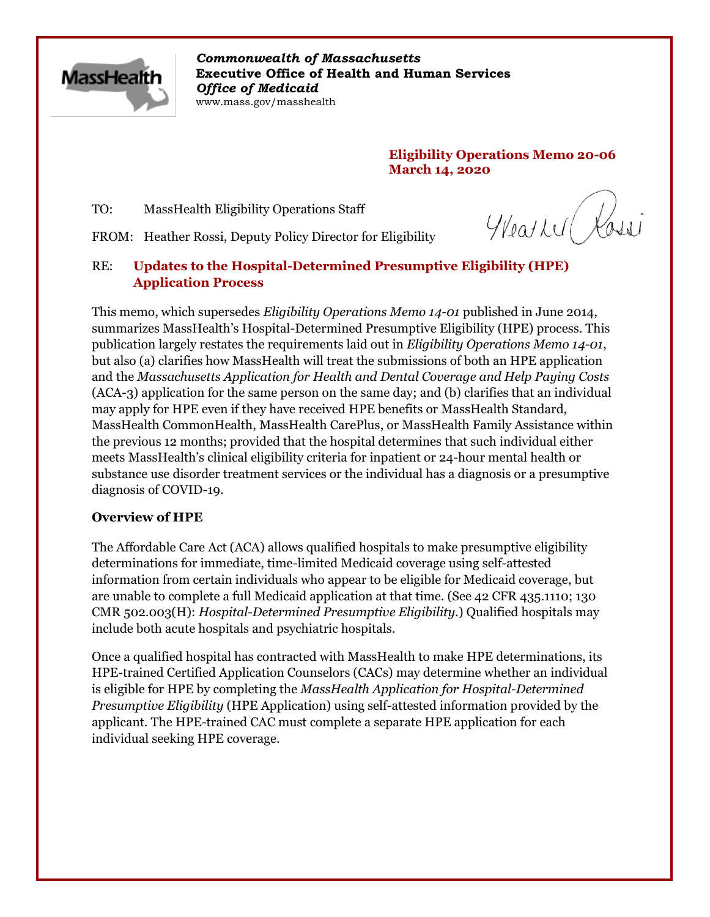

*Commonwealth of Massachusetts* **Executive Office of Health and Human Services** *Office of Medicaid* www.mass.gov/masshealth

> **Eligibility Operations Memo 20-06 March 14, 2020**

TO: MassHealth Eligibility Operations Staff

Weath Rossi

FROM: Heather Rossi, Deputy Policy Director for Eligibility

## RE: **Updates to the Hospital-Determined Presumptive Eligibility (HPE) Application Process**

This memo, which supersedes *Eligibility Operations Memo 14-01* published in June 2014, summarizes MassHealth's Hospital-Determined Presumptive Eligibility (HPE) process. This publication largely restates the requirements laid out in *Eligibility Operations Memo 14-01*, but also (a) clarifies how MassHealth will treat the submissions of both an HPE application and the *Massachusetts Application for Health and Dental Coverage and Help Paying Costs* (ACA-3) application for the same person on the same day; and (b) clarifies that an individual may apply for HPE even if they have received HPE benefits or MassHealth Standard, MassHealth CommonHealth, MassHealth CarePlus, or MassHealth Family Assistance within the previous 12 months; provided that the hospital determines that such individual either meets MassHealth's clinical eligibility criteria for inpatient or 24-hour mental health or substance use disorder treatment services or the individual has a diagnosis or a presumptive diagnosis of COVID-19.

### **Overview of HPE**

The Affordable Care Act (ACA) allows qualified hospitals to make presumptive eligibility determinations for immediate, time-limited Medicaid coverage using self-attested information from certain individuals who appear to be eligible for Medicaid coverage, but are unable to complete a full Medicaid application at that time. (See 42 CFR 435.1110; 130 CMR 502.003(H): *Hospital-Determined Presumptive Eligibility*.) Qualified hospitals may include both acute hospitals and psychiatric hospitals.

Once a qualified hospital has contracted with MassHealth to make HPE determinations, its HPE-trained Certified Application Counselors (CACs) may determine whether an individual is eligible for HPE by completing the *MassHealth Application for Hospital-Determined Presumptive Eligibility* (HPE Application) using self-attested information provided by the applicant. The HPE-trained CAC must complete a separate HPE application for each individual seeking HPE coverage.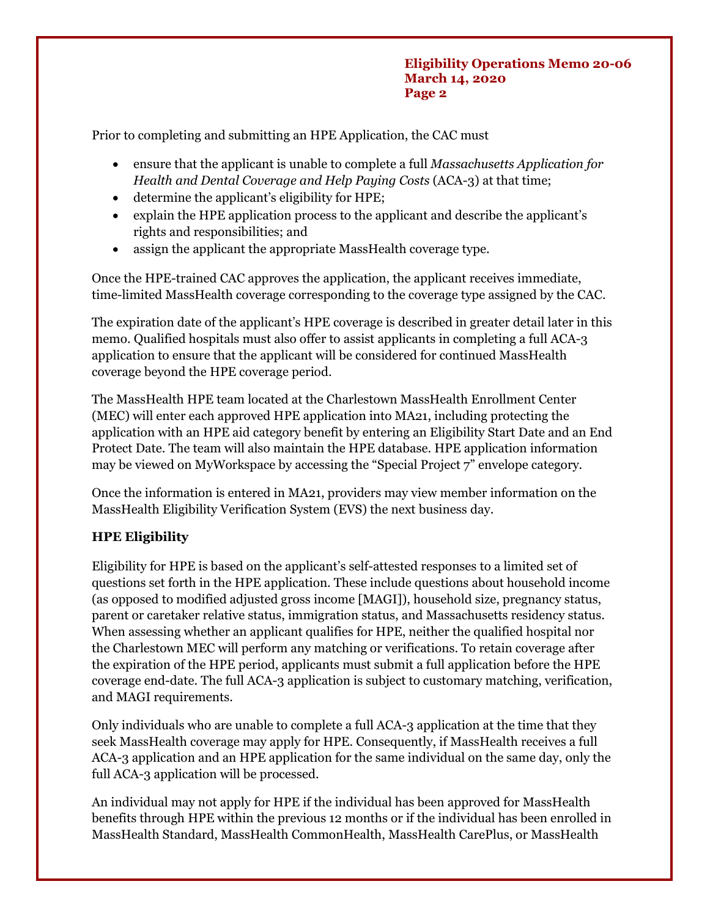Prior to completing and submitting an HPE Application, the CAC must

- · ensure that the applicant is unable to complete a full *Massachusetts Application for Health and Dental Coverage and Help Paying Costs* (ACA-3) at that time;
- determine the applicant's eligibility for HPE;
- explain the HPE application process to the applicant and describe the applicant's rights and responsibilities; and
- assign the applicant the appropriate MassHealth coverage type.

Once the HPE-trained CAC approves the application, the applicant receives immediate, time-limited MassHealth coverage corresponding to the coverage type assigned by the CAC.

The expiration date of the applicant's HPE coverage is described in greater detail later in this memo. Qualified hospitals must also offer to assist applicants in completing a full ACA-3 application to ensure that the applicant will be considered for continued MassHealth coverage beyond the HPE coverage period.

The MassHealth HPE team located at the Charlestown MassHealth Enrollment Center (MEC) will enter each approved HPE application into MA21, including protecting the application with an HPE aid category benefit by entering an Eligibility Start Date and an End Protect Date. The team will also maintain the HPE database. HPE application information may be viewed on MyWorkspace by accessing the "Special Project 7" envelope category.

Once the information is entered in MA21, providers may view member information on the MassHealth Eligibility Verification System (EVS) the next business day.

# **HPE Eligibility**

Eligibility for HPE is based on the applicant's self-attested responses to a limited set of questions set forth in the HPE application. These include questions about household income (as opposed to modified adjusted gross income [MAGI]), household size, pregnancy status, parent or caretaker relative status, immigration status, and Massachusetts residency status. When assessing whether an applicant qualifies for HPE, neither the qualified hospital nor the Charlestown MEC will perform any matching or verifications. To retain coverage after the expiration of the HPE period, applicants must submit a full application before the HPE coverage end-date. The full ACA-3 application is subject to customary matching, verification, and MAGI requirements.

Only individuals who are unable to complete a full ACA-3 application at the time that they seek MassHealth coverage may apply for HPE. Consequently, if MassHealth receives a full ACA-3 application and an HPE application for the same individual on the same day, only the full ACA-3 application will be processed.

An individual may not apply for HPE if the individual has been approved for MassHealth benefits through HPE within the previous 12 months or if the individual has been enrolled in MassHealth Standard, MassHealth CommonHealth, MassHealth CarePlus, or MassHealth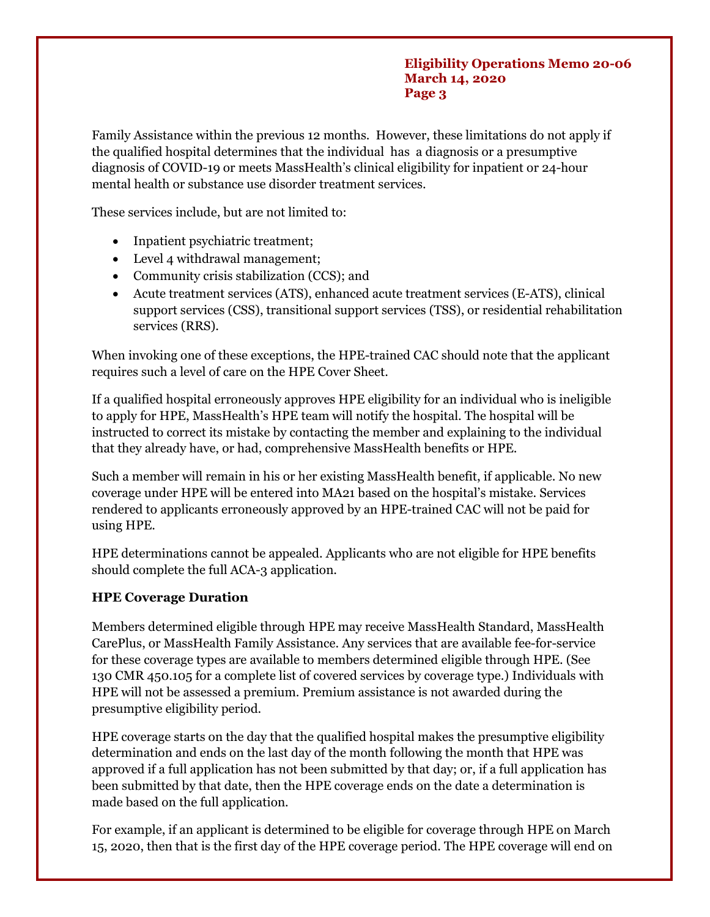#### **Eligibility Operations Memo 20-06 March 14, 2020 Page 3**

Family Assistance within the previous 12 months. However, these limitations do not apply if the qualified hospital determines that the individual has a diagnosis or a presumptive diagnosis of COVID-19 or meets MassHealth's clinical eligibility for inpatient or 24-hour mental health or substance use disorder treatment services.

These services include, but are not limited to:

- Inpatient psychiatric treatment;
- Level 4 withdrawal management;
- · Community crisis stabilization (CCS); and
- · Acute treatment services (ATS), enhanced acute treatment services (E-ATS), clinical support services (CSS), transitional support services (TSS), or residential rehabilitation services (RRS).

When invoking one of these exceptions, the HPE-trained CAC should note that the applicant requires such a level of care on the HPE Cover Sheet.

If a qualified hospital erroneously approves HPE eligibility for an individual who is ineligible to apply for HPE, MassHealth's HPE team will notify the hospital. The hospital will be instructed to correct its mistake by contacting the member and explaining to the individual that they already have, or had, comprehensive MassHealth benefits or HPE.

Such a member will remain in his or her existing MassHealth benefit, if applicable. No new coverage under HPE will be entered into MA21 based on the hospital's mistake. Services rendered to applicants erroneously approved by an HPE-trained CAC will not be paid for using HPE.

HPE determinations cannot be appealed. Applicants who are not eligible for HPE benefits should complete the full ACA-3 application.

### **HPE Coverage Duration**

Members determined eligible through HPE may receive MassHealth Standard, MassHealth CarePlus, or MassHealth Family Assistance. Any services that are available fee-for-service for these coverage types are available to members determined eligible through HPE. (See 130 CMR 450.105 for a complete list of covered services by coverage type.) Individuals with HPE will not be assessed a premium. Premium assistance is not awarded during the presumptive eligibility period.

HPE coverage starts on the day that the qualified hospital makes the presumptive eligibility determination and ends on the last day of the month following the month that HPE was approved if a full application has not been submitted by that day; or, if a full application has been submitted by that date, then the HPE coverage ends on the date a determination is made based on the full application.

For example, if an applicant is determined to be eligible for coverage through HPE on March 15, 2020, then that is the first day of the HPE coverage period. The HPE coverage will end on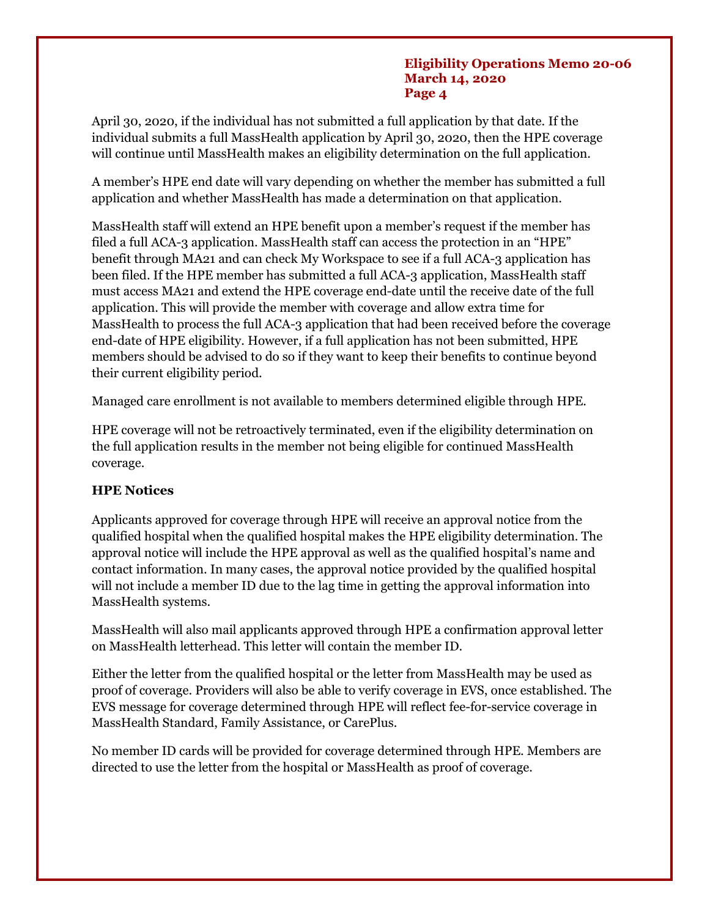#### **Eligibility Operations Memo 20-06 March 14, 2020 Page 4**

April 30, 2020, if the individual has not submitted a full application by that date. If the individual submits a full MassHealth application by April 30, 2020, then the HPE coverage will continue until MassHealth makes an eligibility determination on the full application.

A member's HPE end date will vary depending on whether the member has submitted a full application and whether MassHealth has made a determination on that application.

MassHealth staff will extend an HPE benefit upon a member's request if the member has filed a full ACA-3 application. MassHealth staff can access the protection in an "HPE" benefit through MA21 and can check My Workspace to see if a full ACA-3 application has been filed. If the HPE member has submitted a full ACA-3 application, MassHealth staff must access MA21 and extend the HPE coverage end-date until the receive date of the full application. This will provide the member with coverage and allow extra time for MassHealth to process the full ACA-3 application that had been received before the coverage end-date of HPE eligibility. However, if a full application has not been submitted, HPE members should be advised to do so if they want to keep their benefits to continue beyond their current eligibility period.

Managed care enrollment is not available to members determined eligible through HPE.

HPE coverage will not be retroactively terminated, even if the eligibility determination on the full application results in the member not being eligible for continued MassHealth coverage.

# **HPE Notices**

Applicants approved for coverage through HPE will receive an approval notice from the qualified hospital when the qualified hospital makes the HPE eligibility determination. The approval notice will include the HPE approval as well as the qualified hospital's name and contact information. In many cases, the approval notice provided by the qualified hospital will not include a member ID due to the lag time in getting the approval information into MassHealth systems.

MassHealth will also mail applicants approved through HPE a confirmation approval letter on MassHealth letterhead. This letter will contain the member ID.

Either the letter from the qualified hospital or the letter from MassHealth may be used as proof of coverage. Providers will also be able to verify coverage in EVS, once established. The EVS message for coverage determined through HPE will reflect fee-for-service coverage in MassHealth Standard, Family Assistance, or CarePlus.

No member ID cards will be provided for coverage determined through HPE. Members are directed to use the letter from the hospital or MassHealth as proof of coverage.